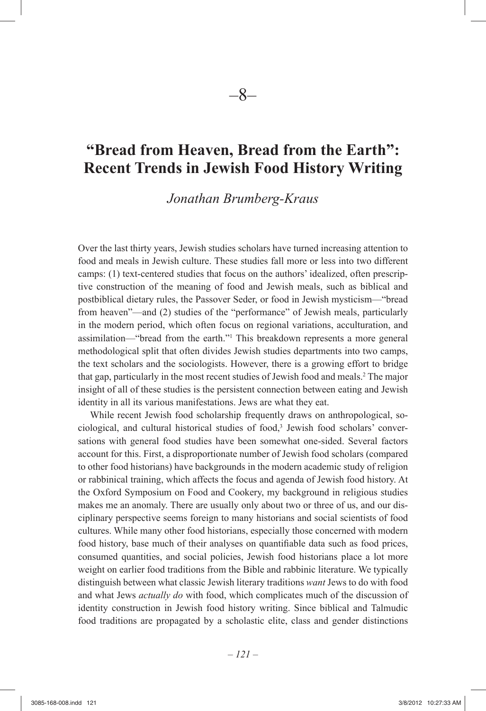# **"Bread from Heaven, Bread from the Earth": Recent Trends in Jewish Food History Writing**

–8–

# *Jonathan Brumberg-Kraus*

Over the last thirty years, Jewish studies scholars have turned increasing attention to food and meals in Jewish culture. These studies fall more or less into two different camps: (1) text-centered studies that focus on the authors' idealized, often prescriptive construction of the meaning of food and Jewish meals, such as biblical and postbiblical dietary rules, the Passover Seder, or food in Jewish mysticism—"bread from heaven"—and (2) studies of the "performance" of Jewish meals, particularly in the modern period, which often focus on regional variations, acculturation, and assimilation—"bread from the earth."<sup>1</sup> This breakdown represents a more general methodological split that often divides Jewish studies departments into two camps, the text scholars and the sociologists. However, there is a growing effort to bridge that gap, particularly in the most recent studies of Jewish food and meals.2 The major insight of all of these studies is the persistent connection between eating and Jewish identity in all its various manifestations. Jews are what they eat.

While recent Jewish food scholarship frequently draws on anthropological, sociological, and cultural historical studies of food,<sup>3</sup> Jewish food scholars' conversations with general food studies have been somewhat one-sided. Several factors account for this. First, a disproportionate number of Jewish food scholars (compared to other food historians) have backgrounds in the modern academic study of religion or rabbinical training, which affects the focus and agenda of Jewish food history. At the Oxford Symposium on Food and Cookery, my background in religious studies makes me an anomaly. There are usually only about two or three of us, and our disciplinary perspective seems foreign to many historians and social scientists of food cultures. While many other food historians, especially those concerned with modern food history, base much of their analyses on quantifiable data such as food prices, consumed quantities, and social policies, Jewish food historians place a lot more weight on earlier food traditions from the Bible and rabbinic literature. We typically distinguish between what classic Jewish literary traditions *want* Jews to do with food and what Jews *actually do* with food, which complicates much of the discussion of identity construction in Jewish food history writing. Since biblical and Talmudic food traditions are propagated by a scholastic elite, class and gender distinctions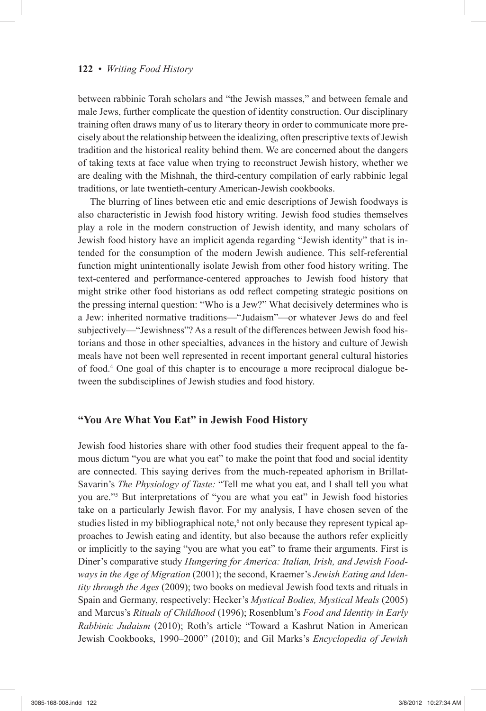between rabbinic Torah scholars and "the Jewish masses," and between female and male Jews, further complicate the question of identity construction. Our disciplinary training often draws many of us to literary theory in order to communicate more precisely about the relationship between the idealizing, often prescriptive texts of Jewish tradition and the historical reality behind them. We are concerned about the dangers of taking texts at face value when trying to reconstruct Jewish history, whether we are dealing with the Mishnah, the third-century compilation of early rabbinic legal traditions, or late twentieth-century American-Jewish cookbooks.

The blurring of lines between etic and emic descriptions of Jewish foodways is also characteristic in Jewish food history writing. Jewish food studies themselves play a role in the modern construction of Jewish identity, and many scholars of Jewish food history have an implicit agenda regarding "Jewish identity" that is intended for the consumption of the modern Jewish audience. This self-referential function might unintentionally isolate Jewish from other food history writing. The text-centered and performance-centered approaches to Jewish food history that might strike other food historians as odd reflect competing strategic positions on the pressing internal question: "Who is a Jew?" What decisively determines who is a Jew: inherited normative traditions—"Judaism"—or whatever Jews do and feel subjectively—"Jewishness"? As a result of the differences between Jewish food historians and those in other specialties, advances in the history and culture of Jewish meals have not been well represented in recent important general cultural histories of food.4 One goal of this chapter is to encourage a more reciprocal dialogue between the subdisciplines of Jewish studies and food history.

### **"You Are What You Eat" in Jewish Food History**

Jewish food histories share with other food studies their frequent appeal to the famous dictum "you are what you eat" to make the point that food and social identity are connected. This saying derives from the much-repeated aphorism in Brillat-Savarin's *The Physiology of Taste:* "Tell me what you eat, and I shall tell you what you are."5 But interpretations of "you are what you eat" in Jewish food histories take on a particularly Jewish flavor. For my analysis, I have chosen seven of the studies listed in my bibliographical note,<sup>6</sup> not only because they represent typical approaches to Jewish eating and identity, but also because the authors refer explicitly or implicitly to the saying "you are what you eat" to frame their arguments. First is Diner's comparative study *Hungering for America: Italian, Irish, and Jewish Foodways in the Age of Migration* (2001); the second, Kraemer's *Jewish Eating and Identity through the Ages* (2009); two books on medieval Jewish food texts and rituals in Spain and Germany, respectively: Hecker's *Mystical Bodies, Mystical Meals* (2005) and Marcus's *Rituals of Childhood* (1996); Rosenblum's *Food and Identity in Early Rabbinic Judaism* (2010); Roth's article "Toward a Kashrut Nation in American Jewish Cookbooks, 1990–2000" (2010); and Gil Marks's *Encyclopedia of Jewish*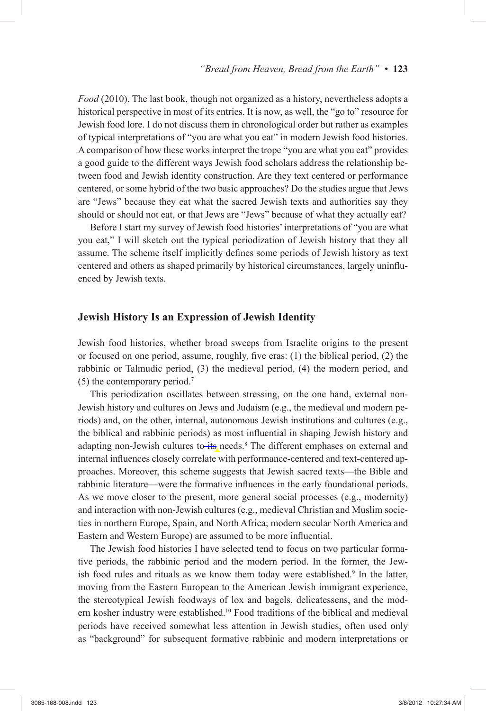*Food* (2010). The last book, though not organized as a history, nevertheless adopts a historical perspective in most of its entries. It is now, as well, the "go to" resource for Jewish food lore. I do not discuss them in chronological order but rather as examples of typical interpretations of "you are what you eat" in modern Jewish food histories. A comparison of how these works interpret the trope "you are what you eat" provides a good guide to the different ways Jewish food scholars address the relationship between food and Jewish identity construction. Are they text centered or performance centered, or some hybrid of the two basic approaches? Do the studies argue that Jews are "Jews" because they eat what the sacred Jewish texts and authorities say they should or should not eat, or that Jews are "Jews" because of what they actually eat?

Before I start my survey of Jewish food histories' interpretations of "you are what you eat," I will sketch out the typical periodization of Jewish history that they all assume. The scheme itself implicitly defines some periods of Jewish history as text centered and others as shaped primarily by historical circumstances, largely uninfluenced by Jewish texts.

### **Jewish History Is an Expression of Jewish Identity**

Jewish food histories, whether broad sweeps from Israelite origins to the present or focused on one period, assume, roughly, five eras:  $(1)$  the biblical period,  $(2)$  the rabbinic or Talmudic period, (3) the medieval period, (4) the modern period, and (5) the contemporary period.7

This periodization oscillates between stressing, on the one hand, external non-Jewish history and cultures on Jews and Judaism (e.g., the medieval and modern periods) and, on the other, internal, autonomous Jewish institutions and cultures (e.g., the biblical and rabbinic periods) as most influential in shaping Jewish history and adapting non-Jewish cultures to its needs.<sup>8</sup> The different emphases on external and internal influences closely correlate with performance-centered and text-centered approaches. Moreover, this scheme suggests that Jewish sacred texts—the Bible and rabbinic literature—were the formative influences in the early foundational periods. As we move closer to the present, more general social processes (e.g., modernity) and interaction with non-Jewish cultures (e.g., medieval Christian and Muslim societies in northern Europe, Spain, and North Africa; modern secular North America and Eastern and Western Europe) are assumed to be more influential.

The Jewish food histories I have selected tend to focus on two particular formative periods, the rabbinic period and the modern period. In the former, the Jewish food rules and rituals as we know them today were established.<sup>9</sup> In the latter, moving from the Eastern European to the American Jewish immigrant experience, the stereotypical Jewish foodways of lox and bagels, delicatessens, and the modern kosher industry were established.10 Food traditions of the biblical and medieval periods have received somewhat less attention in Jewish studies, often used only as "background" for subsequent formative rabbinic and modern interpretations or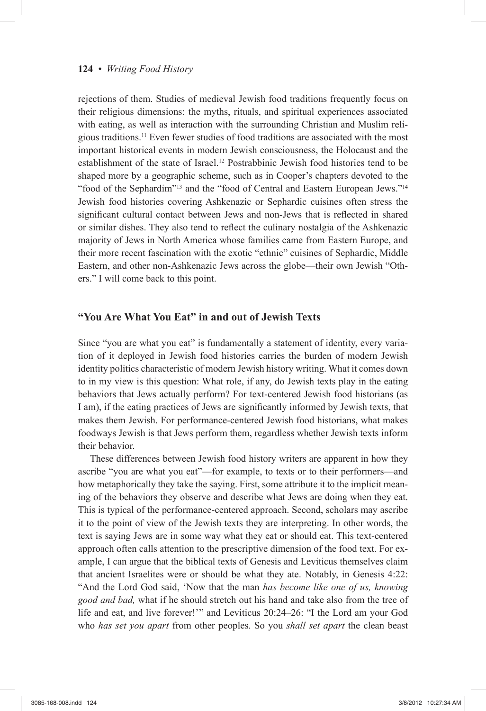rejections of them. Studies of medieval Jewish food traditions frequently focus on their religious dimensions: the myths, rituals, and spiritual experiences associated with eating, as well as interaction with the surrounding Christian and Muslim religious traditions.11 Even fewer studies of food traditions are associated with the most important historical events in modern Jewish consciousness, the Holocaust and the establishment of the state of Israel.12 Postrabbinic Jewish food histories tend to be shaped more by a geographic scheme, such as in Cooper's chapters devoted to the "food of the Sephardim"13 and the "food of Central and Eastern European Jews."14 Jewish food histories covering Ashkenazic or Sephardic cuisines often stress the significant cultural contact between Jews and non-Jews that is reflected in shared or similar dishes. They also tend to reflect the culinary nostalgia of the Ashkenazic majority of Jews in North America whose families came from Eastern Europe, and their more recent fascination with the exotic "ethnic" cuisines of Sephardic, Middle Eastern, and other non-Ashkenazic Jews across the globe—their own Jewish "Others." I will come back to this point.

### **"You Are What You Eat" in and out of Jewish Texts**

Since "you are what you eat" is fundamentally a statement of identity, every variation of it deployed in Jewish food histories carries the burden of modern Jewish identity politics characteristic of modern Jewish history writing. What it comes down to in my view is this question: What role, if any, do Jewish texts play in the eating behaviors that Jews actually perform? For text-centered Jewish food historians (as I am), if the eating practices of Jews are significantly informed by Jewish texts, that makes them Jewish. For performance-centered Jewish food historians, what makes foodways Jewish is that Jews perform them, regardless whether Jewish texts inform their behavior.

These differences between Jewish food history writers are apparent in how they ascribe "you are what you eat"—for example, to texts or to their performers—and how metaphorically they take the saying. First, some attribute it to the implicit meaning of the behaviors they observe and describe what Jews are doing when they eat. This is typical of the performance-centered approach. Second, scholars may ascribe it to the point of view of the Jewish texts they are interpreting. In other words, the text is saying Jews are in some way what they eat or should eat. This text-centered approach often calls attention to the prescriptive dimension of the food text. For example, I can argue that the biblical texts of Genesis and Leviticus themselves claim that ancient Israelites were or should be what they ate. Notably, in Genesis 4:22: "And the Lord God said, 'Now that the man *has become like one of us, knowing good and bad,* what if he should stretch out his hand and take also from the tree of life and eat, and live forever!"" and Leviticus 20:24–26: "I the Lord am your God who *has set you apart* from other peoples. So you *shall set apart* the clean beast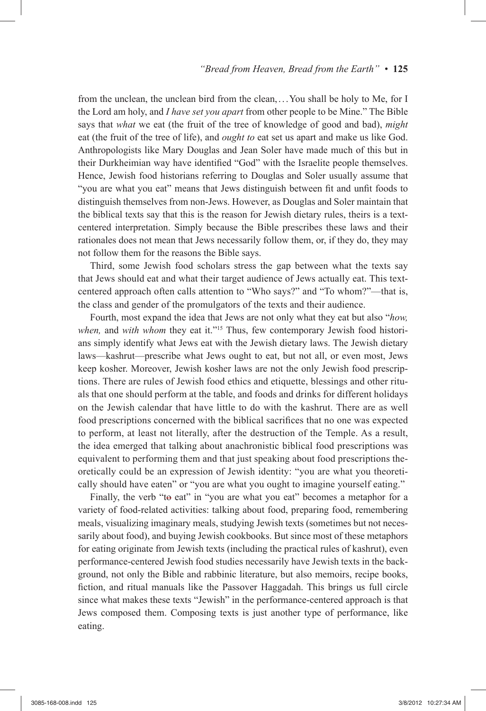from the unclean, the unclean bird from the clean, . . . You shall be holy to Me, for I the Lord am holy, and *I have set you apart* from other people to be Mine." The Bible says that *what* we eat (the fruit of the tree of knowledge of good and bad), *might* eat (the fruit of the tree of life), and *ought to* eat set us apart and make us like God. Anthropologists like Mary Douglas and Jean Soler have made much of this but in their Durkheimian way have identified "God" with the Israelite people themselves. Hence, Jewish food historians referring to Douglas and Soler usually assume that "you are what you eat" means that Jews distinguish between fit and unfit foods to distinguish themselves from non-Jews. However, as Douglas and Soler maintain that the biblical texts say that this is the reason for Jewish dietary rules, theirs is a textcentered interpretation. Simply because the Bible prescribes these laws and their rationales does not mean that Jews necessarily follow them, or, if they do, they may not follow them for the reasons the Bible says.

Third, some Jewish food scholars stress the gap between what the texts say that Jews should eat and what their target audience of Jews actually eat. This textcentered approach often calls attention to "Who says?" and "To whom?"—that is, the class and gender of the promulgators of the texts and their audience.

Fourth, most expand the idea that Jews are not only what they eat but also "*how,*  when, and with whom they eat it."<sup>15</sup> Thus, few contemporary Jewish food historians simply identify what Jews eat with the Jewish dietary laws. The Jewish dietary laws—kashrut—prescribe what Jews ought to eat, but not all, or even most, Jews keep kosher. Moreover, Jewish kosher laws are not the only Jewish food prescriptions. There are rules of Jewish food ethics and etiquette, blessings and other rituals that one should perform at the table, and foods and drinks for different holidays on the Jewish calendar that have little to do with the kashrut. There are as well food prescriptions concerned with the biblical sacrifices that no one was expected to perform, at least not literally, after the destruction of the Temple. As a result, the idea emerged that talking about anachronistic biblical food prescriptions was equivalent to performing them and that just speaking about food prescriptions theoretically could be an expression of Jewish identity: "you are what you theoretically should have eaten" or "you are what you ought to imagine yourself eating."

Finally, the verb "to eat" in "you are what you eat" becomes a metaphor for a variety of food-related activities: talking about food, preparing food, remembering meals, visualizing imaginary meals, studying Jewish texts (sometimes but not necessarily about food), and buying Jewish cookbooks. But since most of these metaphors for eating originate from Jewish texts (including the practical rules of kashrut), even performance-centered Jewish food studies necessarily have Jewish texts in the background, not only the Bible and rabbinic literature, but also memoirs, recipe books, fiction, and ritual manuals like the Passover Haggadah. This brings us full circle since what makes these texts "Jewish" in the performance-centered approach is that Jews composed them. Composing texts is just another type of performance, like eating.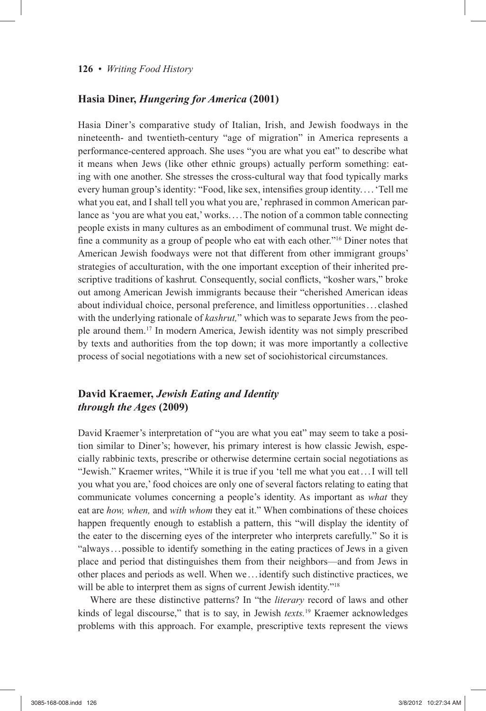### **Hasia Diner,** *Hungering for America* **(2001)**

Hasia Diner's comparative study of Italian, Irish, and Jewish foodways in the nineteenth- and twentieth-century "age of migration" in America represents a performance-centered approach. She uses "you are what you eat" to describe what it means when Jews (like other ethnic groups) actually perform something: eating with one another. She stresses the cross-cultural way that food typically marks every human group's identity: "Food, like sex, intensifies group identity.... 'Tell me what you eat, and I shall tell you what you are,' rephrased in common American parlance as 'you are what you eat,' works. . . . The notion of a common table connecting people exists in many cultures as an embodiment of communal trust. We might define a community as a group of people who eat with each other."<sup>16</sup> Diner notes that American Jewish foodways were not that different from other immigrant groups' strategies of acculturation, with the one important exception of their inherited prescriptive traditions of kashrut. Consequently, social conflicts, "kosher wars," broke out among American Jewish immigrants because their "cherished American ideas about individual choice, personal preference, and limitless opportunities . . . clashed with the underlying rationale of *kashrut,*" which was to separate Jews from the people around them.17 In modern America, Jewish identity was not simply prescribed by texts and authorities from the top down; it was more importantly a collective process of social negotiations with a new set of sociohistorical circumstances.

# **David Kraemer,** *Jewish Eating and Identity through the Ages* **(2009)**

David Kraemer's interpretation of "you are what you eat" may seem to take a position similar to Diner's; however, his primary interest is how classic Jewish, especially rabbinic texts, prescribe or otherwise determine certain social negotiations as "Jewish." Kraemer writes, "While it is true if you 'tell me what you eat . . . I will tell you what you are,' food choices are only one of several factors relating to eating that communicate volumes concerning a people's identity. As important as *what* they eat are *how, when,* and *with whom* they eat it." When combinations of these choices happen frequently enough to establish a pattern, this "will display the identity of the eater to the discerning eyes of the interpreter who interprets carefully." So it is "always . . . possible to identify something in the eating practices of Jews in a given place and period that distinguishes them from their neighbors—and from Jews in other places and periods as well. When we . . . identify such distinctive practices, we will be able to interpret them as signs of current Jewish identity."<sup>18</sup>

Where are these distinctive patterns? In "the *literary* record of laws and other kinds of legal discourse," that is to say, in Jewish *texts.*19 Kraemer acknowledges problems with this approach. For example, prescriptive texts represent the views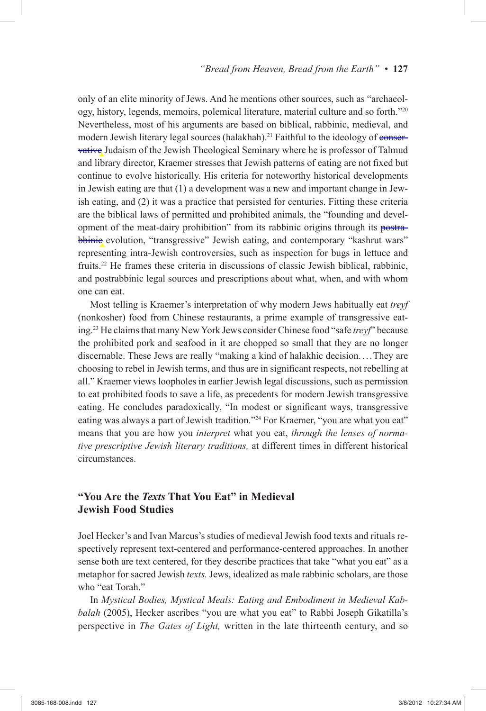only of an elite minority of Jews. And he mentions other sources, such as "archaeology, history, legends, memoirs, polemical literature, material culture and so forth."20 Nevertheless, most of his arguments are based on biblical, rabbinic, medieval, and modern Jewish literary legal sources (halakhah).<sup>21</sup> Faithful to the ideology of  $\epsilon$ **onser**vative Judaism of the Jewish Theological Seminary where he is professor of Talmud and library director, Kraemer stresses that Jewish patterns of eating are not fixed but continue to evolve historically. His criteria for noteworthy historical developments in Jewish eating are that (1) a development was a new and important change in Jewish eating, and (2) it was a practice that persisted for centuries. Fitting these criteria are the biblical laws of permitted and prohibited animals, the "founding and development of the meat-dairy prohibition" from its rabbinic origins through its postrabbinic evolution, "transgressive" Jewish eating, and contemporary "kashrut wars" representing intra-Jewish controversies, such as inspection for bugs in lettuce and fruits.22 He frames these criteria in discussions of classic Jewish biblical, rabbinic, and postrabbinic legal sources and prescriptions about what, when, and with whom one can eat.

Most telling is Kraemer's interpretation of why modern Jews habitually eat *treyf* (nonkosher) food from Chinese restaurants, a prime example of transgressive eating.23 He claims that many New York Jews consider Chinese food "safe *treyf*" because the prohibited pork and seafood in it are chopped so small that they are no longer discernable. These Jews are really "making a kind of halakhic decision. . . . They are choosing to rebel in Jewish terms, and thus are in significant respects, not rebelling at all." Kraemer views loopholes in earlier Jewish legal discussions, such as permission to eat prohibited foods to save a life, as precedents for modern Jewish transgressive eating. He concludes paradoxically, "In modest or significant ways, transgressive eating was always a part of Jewish tradition."<sup>24</sup> For Kraemer, "you are what you eat" means that you are how you *interpret* what you eat, *through the lenses of normative prescriptive Jewish literary traditions,* at different times in different historical circumstances.

# **"You Are the** *Texts* **That You Eat" in Medieval Jewish Food Studies**

Joel Hecker's and Ivan Marcus's studies of medieval Jewish food texts and rituals respectively represent text-centered and performance-centered approaches. In another sense both are text centered, for they describe practices that take "what you eat" as a metaphor for sacred Jewish *texts.* Jews, idealized as male rabbinic scholars, are those who "eat Torah."

In *Mystical Bodies, Mystical Meals: Eating and Embodiment in Medieval Kabbalah* (2005), Hecker ascribes "you are what you eat" to Rabbi Joseph Gikatilla's perspective in *The Gates of Light,* written in the late thirteenth century, and so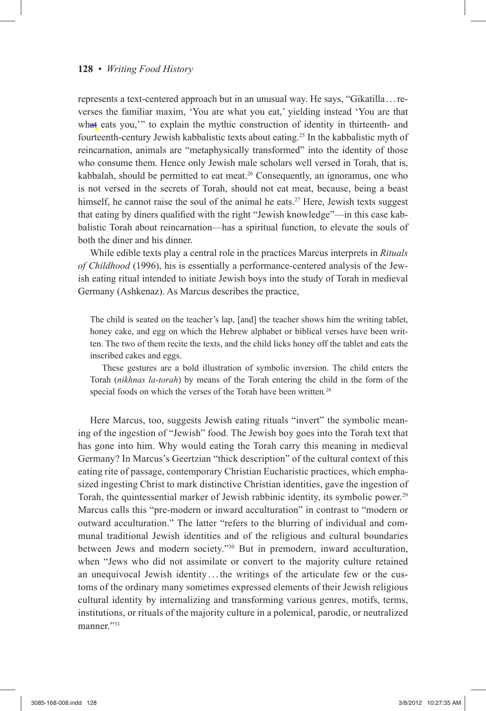represents a text-centered approach but in an unusual way. He says, "Gikatilla . . . reverses the familiar maxim, 'You are what you eat,' yielding instead 'You are that what eats you," to explain the mythic construction of identity in thirteenth- and fourteenth-century Jewish kabbalistic texts about eating.25 In the kabbalistic myth of reincarnation, animals are "metaphysically transformed" into the identity of those who consume them. Hence only Jewish male scholars well versed in Torah, that is, kabbalah, should be permitted to eat meat.<sup>26</sup> Consequently, an ignoramus, one who is not versed in the secrets of Torah, should not eat meat, because, being a beast himself, he cannot raise the soul of the animal he eats.<sup>27</sup> Here, Jewish texts suggest that eating by diners qualified with the right "Jewish knowledge"—in this case kabbalistic Torah about reincarnation—has a spiritual function, to elevate the souls of both the diner and his dinner.

While edible texts play a central role in the practices Marcus interprets in *Rituals of Childhood* (1996), his is essentially a performance-centered analysis of the Jewish eating ritual intended to initiate Jewish boys into the study of Torah in medieval Germany (Ashkenaz). As Marcus describes the practice,

The child is seated on the teacher's lap, [and] the teacher shows him the writing tablet, honey cake, and egg on which the Hebrew alphabet or biblical verses have been written. The two of them recite the texts, and the child licks honey off the tablet and eats the inscribed cakes and eggs.

These gestures are a bold illustration of symbolic inversion. The child enters the Torah (*nikhnas la-torah*) by means of the Torah entering the child in the form of the special foods on which the verses of the Torah have been written*.* 28

Here Marcus, too, suggests Jewish eating rituals "invert" the symbolic meaning of the ingestion of "Jewish" food. The Jewish boy goes into the Torah text that has gone into him. Why would eating the Torah carry this meaning in medieval Germany? In Marcus's Geertzian "thick description" of the cultural context of this eating rite of passage, contemporary Christian Eucharistic practices, which emphasized ingesting Christ to mark distinctive Christian identities, gave the ingestion of Torah, the quintessential marker of Jewish rabbinic identity, its symbolic power.<sup>29</sup> Marcus calls this "pre-modern or inward acculturation" in contrast to "modern or outward acculturation." The latter "refers to the blurring of individual and communal traditional Jewish identities and of the religious and cultural boundaries between Jews and modern society."30 But in premodern, inward acculturation, when "Jews who did not assimilate or convert to the majority culture retained an unequivocal Jewish identity . . . the writings of the articulate few or the customs of the ordinary many sometimes expressed elements of their Jewish religious cultural identity by internalizing and transforming various genres, motifs, terms, institutions, or rituals of the majority culture in a polemical, parodic, or neutralized manner<sup>"31</sup>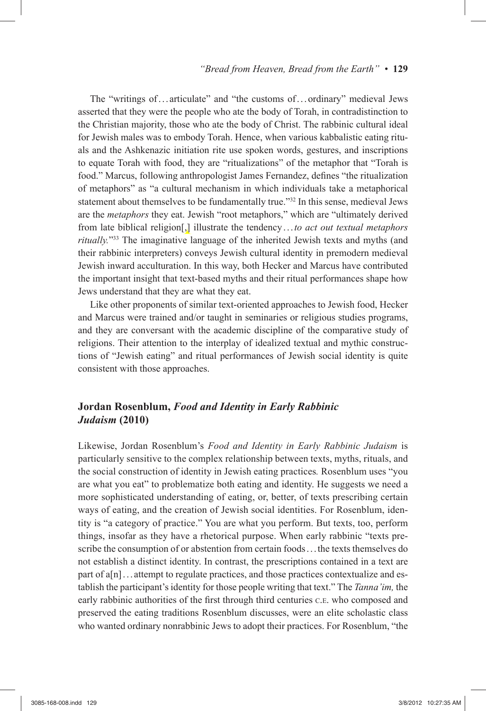The "writings of ... articulate" and "the customs of ... ordinary" medieval Jews asserted that they were the people who ate the body of Torah, in contradistinction to the Christian majority, those who ate the body of Christ. The rabbinic cultural ideal for Jewish males was to embody Torah. Hence, when various kabbalistic eating rituals and the Ashkenazic initiation rite use spoken words, gestures, and inscriptions to equate Torah with food, they are "ritualizations" of the metaphor that "Torah is food." Marcus, following anthropologist James Fernandez, defines "the ritualization of metaphors" as "a cultural mechanism in which individuals take a metaphorical statement about themselves to be fundamentally true."32 In this sense, medieval Jews are the *metaphors* they eat. Jewish "root metaphors," which are "ultimately derived from late biblical religion[,] illustrate the tendency . . . *to act out textual metaphors ritually.*"33 The imaginative language of the inherited Jewish texts and myths (and their rabbinic interpreters) conveys Jewish cultural identity in premodern medieval Jewish inward acculturation. In this way, both Hecker and Marcus have contributed the important insight that text-based myths and their ritual performances shape how Jews understand that they are what they eat.

Like other proponents of similar text-oriented approaches to Jewish food, Hecker and Marcus were trained and/or taught in seminaries or religious studies programs, and they are conversant with the academic discipline of the comparative study of religions. Their attention to the interplay of idealized textual and mythic constructions of "Jewish eating" and ritual performances of Jewish social identity is quite consistent with those approaches.

### **Jordan Rosenblum,** *Food and Identity in Early Rabbinic Judaism* **(2010)**

Likewise, Jordan Rosenblum's *Food and Identity in Early Rabbinic Judaism* is particularly sensitive to the complex relationship between texts, myths, rituals, and the social construction of identity in Jewish eating practices*.* Rosenblum uses "you are what you eat" to problematize both eating and identity. He suggests we need a more sophisticated understanding of eating, or, better, of texts prescribing certain ways of eating, and the creation of Jewish social identities. For Rosenblum, identity is "a category of practice." You are what you perform. But texts, too, perform things, insofar as they have a rhetorical purpose. When early rabbinic "texts prescribe the consumption of or abstention from certain foods . . . the texts themselves do not establish a distinct identity. In contrast, the prescriptions contained in a text are part of  $a[n]$ ... attempt to regulate practices, and those practices contextualize and establish the participant's identity for those people writing that text." The *Tanna'im,* the early rabbinic authorities of the first through third centuries C.E. who composed and preserved the eating traditions Rosenblum discusses, were an elite scholastic class who wanted ordinary nonrabbinic Jews to adopt their practices. For Rosenblum, "the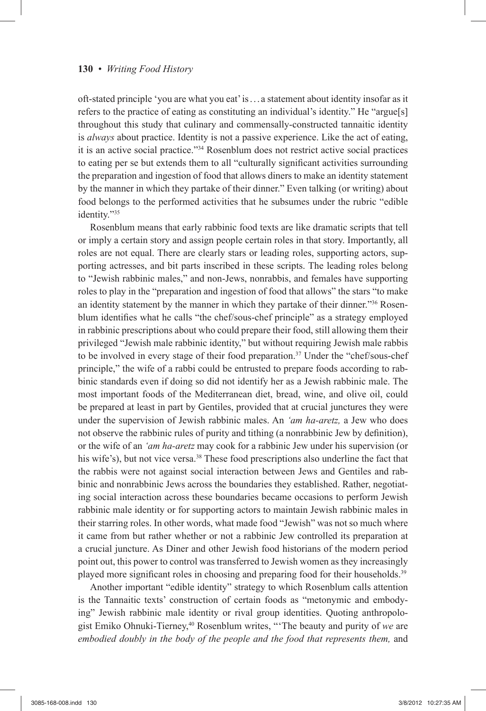oft-stated principle 'you are what you eat' is . . . a statement about identity insofar as it refers to the practice of eating as constituting an individual's identity." He "argue[s] throughout this study that culinary and commensally-constructed tannaitic identity is *always* about practice. Identity is not a passive experience. Like the act of eating, it is an active social practice."34 Rosenblum does not restrict active social practices to eating per se but extends them to all "culturally significant activities surrounding the preparation and ingestion of food that allows diners to make an identity statement by the manner in which they partake of their dinner." Even talking (or writing) about food belongs to the performed activities that he subsumes under the rubric "edible identity."35

Rosenblum means that early rabbinic food texts are like dramatic scripts that tell or imply a certain story and assign people certain roles in that story. Importantly, all roles are not equal. There are clearly stars or leading roles, supporting actors, supporting actresses, and bit parts inscribed in these scripts. The leading roles belong to "Jewish rabbinic males," and non-Jews, nonrabbis, and females have supporting roles to play in the "preparation and ingestion of food that allows" the stars "to make an identity statement by the manner in which they partake of their dinner."36 Rosenblum identifies what he calls "the chef/sous-chef principle" as a strategy employed in rabbinic prescriptions about who could prepare their food, still allowing them their privileged "Jewish male rabbinic identity," but without requiring Jewish male rabbis to be involved in every stage of their food preparation.<sup>37</sup> Under the "chef/sous-chef principle," the wife of a rabbi could be entrusted to prepare foods according to rabbinic standards even if doing so did not identify her as a Jewish rabbinic male. The most important foods of the Mediterranean diet, bread, wine, and olive oil, could be prepared at least in part by Gentiles, provided that at crucial junctures they were under the supervision of Jewish rabbinic males. An *'am ha-aretz,* a Jew who does not observe the rabbinic rules of purity and tithing (a nonrabbinic Jew by definition), or the wife of an *'am ha-aretz* may cook for a rabbinic Jew under his supervision (or his wife's), but not vice versa.<sup>38</sup> These food prescriptions also underline the fact that the rabbis were not against social interaction between Jews and Gentiles and rabbinic and nonrabbinic Jews across the boundaries they established. Rather, negotiating social interaction across these boundaries became occasions to perform Jewish rabbinic male identity or for supporting actors to maintain Jewish rabbinic males in their starring roles. In other words, what made food "Jewish" was not so much where it came from but rather whether or not a rabbinic Jew controlled its preparation at a crucial juncture. As Diner and other Jewish food historians of the modern period point out, this power to control was transferred to Jewish women as they increasingly played more significant roles in choosing and preparing food for their households.<sup>39</sup>

Another important "edible identity" strategy to which Rosenblum calls attention is the Tannaitic texts' construction of certain foods as "metonymic and embodying" Jewish rabbinic male identity or rival group identities. Quoting anthropologist Emiko Ohnuki-Tierney,40 Rosenblum writes, " 'The beauty and purity of *we* are *embodied doubly in the body of the people and the food that represents them,* and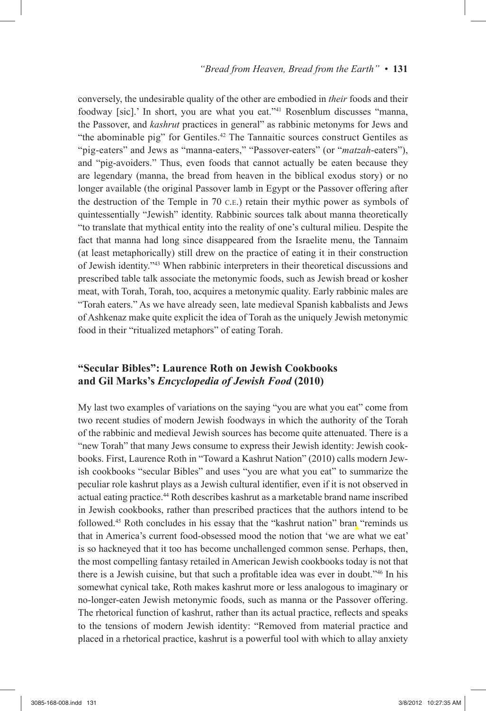conversely, the undesirable quality of the other are embodied in *their* foods and their foodway [sic].' In short, you are what you eat."41 Rosenblum discusses "manna, the Passover, and *kashrut* practices in general" as rabbinic metonyms for Jews and "the abominable pig" for Gentiles.<sup>42</sup> The Tannaitic sources construct Gentiles as "pig-eaters" and Jews as "manna-eaters," "Passover-eaters" (or "*matzah*-eaters"), and "pig-avoiders." Thus, even foods that cannot actually be eaten because they are legendary (manna, the bread from heaven in the biblical exodus story) or no longer available (the original Passover lamb in Egypt or the Passover offering after the destruction of the Temple in 70 C.E.) retain their mythic power as symbols of quintessentially "Jewish" identity. Rabbinic sources talk about manna theoretically "to translate that mythical entity into the reality of one's cultural milieu. Despite the fact that manna had long since disappeared from the Israelite menu, the Tannaim (at least metaphorically) still drew on the practice of eating it in their construction of Jewish identity."43 When rabbinic interpreters in their theoretical discussions and prescribed table talk associate the metonymic foods, such as Jewish bread or kosher meat, with Torah, Torah, too, acquires a metonymic quality. Early rabbinic males are "Torah eaters." As we have already seen, late medieval Spanish kabbalists and Jews of Ashkenaz make quite explicit the idea of Torah as the uniquely Jewish metonymic food in their "ritualized metaphors" of eating Torah.

# **"Secular Bibles": Laurence Roth on Jewish Cookbooks and Gil Marks's** *Encyclopedia of Jewish Food* **(2010)**

My last two examples of variations on the saying "you are what you eat" come from two recent studies of modern Jewish foodways in which the authority of the Torah of the rabbinic and medieval Jewish sources has become quite attenuated. There is a "new Torah" that many Jews consume to express their Jewish identity: Jewish cookbooks. First, Laurence Roth in "Toward a Kashrut Nation" (2010) calls modern Jewish cookbooks "secular Bibles" and uses "you are what you eat" to summarize the peculiar role kashrut plays as a Jewish cultural identifier, even if it is not observed in actual eating practice.<sup>44</sup> Roth describes kashrut as a marketable brand name inscribed in Jewish cookbooks, rather than prescribed practices that the authors intend to be followed.45 Roth concludes in his essay that the "kashrut nation" bran "reminds us that in America's current food-obsessed mood the notion that 'we are what we eat' is so hackneyed that it too has become unchallenged common sense. Perhaps, then, the most compelling fantasy retailed in American Jewish cookbooks today is not that there is a Jewish cuisine, but that such a profitable idea was ever in doubt."<sup>46</sup> In his somewhat cynical take, Roth makes kashrut more or less analogous to imaginary or no-longer-eaten Jewish metonymic foods, such as manna or the Passover offering. The rhetorical function of kashrut, rather than its actual practice, reflects and speaks to the tensions of modern Jewish identity: "Removed from material practice and placed in a rhetorical practice, kashrut is a powerful tool with which to allay anxiety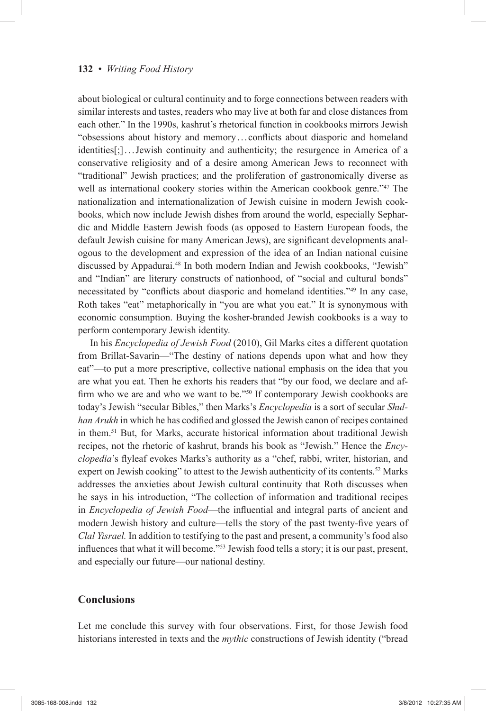about biological or cultural continuity and to forge connections between readers with similar interests and tastes, readers who may live at both far and close distances from each other." In the 1990s, kashrut's rhetorical function in cookbooks mirrors Jewish "obsessions about history and memory...conflicts about diasporic and homeland identities[;]...Jewish continuity and authenticity; the resurgence in America of a conservative religiosity and of a desire among American Jews to reconnect with "traditional" Jewish practices; and the proliferation of gastronomically diverse as well as international cookery stories within the American cookbook genre."<sup>47</sup> The nationalization and internationalization of Jewish cuisine in modern Jewish cookbooks, which now include Jewish dishes from around the world, especially Sephardic and Middle Eastern Jewish foods (as opposed to Eastern European foods, the default Jewish cuisine for many American Jews), are significant developments analogous to the development and expression of the idea of an Indian national cuisine discussed by Appadurai.48 In both modern Indian and Jewish cookbooks, "Jewish" and "Indian" are literary constructs of nationhood, of "social and cultural bonds" necessitated by "conflicts about diasporic and homeland identities."<sup>49</sup> In any case, Roth takes "eat" metaphorically in "you are what you eat." It is synonymous with economic consumption. Buying the kosher-branded Jewish cookbooks is a way to perform contemporary Jewish identity.

In his *Encyclopedia of Jewish Food* (2010), Gil Marks cites a different quotation from Brillat-Savarin—"The destiny of nations depends upon what and how they eat"—to put a more prescriptive, collective national emphasis on the idea that you are what you eat. Then he exhorts his readers that "by our food, we declare and affirm who we are and who we want to be."<sup>50</sup> If contemporary Jewish cookbooks are today's Jewish "secular Bibles," then Marks's *Encyclopedia* is a sort of secular *Shulhan Arukh* in which he has codified and glossed the Jewish canon of recipes contained in them.51 But, for Marks, accurate historical information about traditional Jewish recipes, not the rhetoric of kashrut, brands his book as "Jewish." Hence the *Encyclopedia*'s flyleaf evokes Marks's authority as a "chef, rabbi, writer, historian, and expert on Jewish cooking" to attest to the Jewish authenticity of its contents.<sup>52</sup> Marks addresses the anxieties about Jewish cultural continuity that Roth discusses when he says in his introduction, "The collection of information and traditional recipes in *Encyclopedia of Jewish Food*—the influential and integral parts of ancient and modern Jewish history and culture—tells the story of the past twenty-five years of *Clal Yisrael.* In addition to testifying to the past and present, a community's food also influences that what it will become."<sup>53</sup> Jewish food tells a story; it is our past, present, and especially our future—our national destiny.

### **Conclusions**

Let me conclude this survey with four observations. First, for those Jewish food historians interested in texts and the *mythic* constructions of Jewish identity ("bread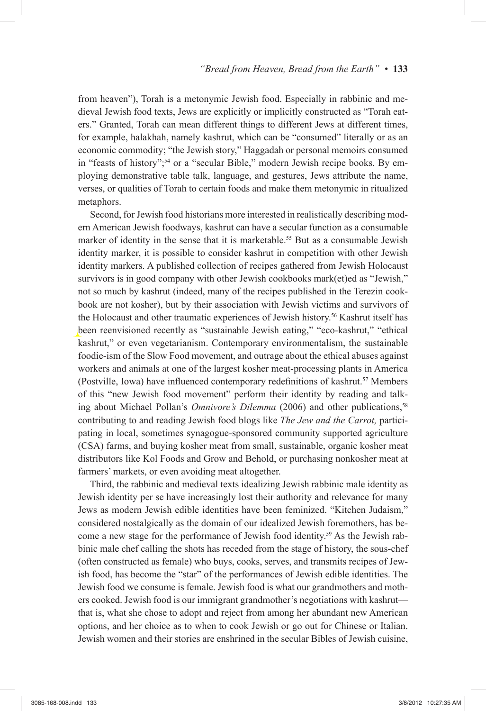from heaven"), Torah is a metonymic Jewish food. Especially in rabbinic and medieval Jewish food texts, Jews are explicitly or implicitly constructed as "Torah eaters." Granted, Torah can mean different things to different Jews at different times, for example, halakhah, namely kashrut, which can be "consumed" literally or as an economic commodity; "the Jewish story," Haggadah or personal memoirs consumed in "feasts of history";<sup>54</sup> or a "secular Bible," modern Jewish recipe books. By employing demonstrative table talk, language, and gestures, Jews attribute the name, verses, or qualities of Torah to certain foods and make them metonymic in ritualized metaphors.

Second, for Jewish food historians more interested in realistically describing modern American Jewish foodways, kashrut can have a secular function as a consumable marker of identity in the sense that it is marketable.<sup>55</sup> But as a consumable Jewish identity marker, it is possible to consider kashrut in competition with other Jewish identity markers. A published collection of recipes gathered from Jewish Holocaust survivors is in good company with other Jewish cookbooks mark(et)ed as "Jewish," not so much by kashrut (indeed, many of the recipes published in the Terezin cookbook are not kosher), but by their association with Jewish victims and survivors of the Holocaust and other traumatic experiences of Jewish history.56 Kashrut itself has been reenvisioned recently as "sustainable Jewish eating," "eco-kashrut," "ethical kashrut," or even vegetarianism. Contemporary environmentalism, the sustainable foodie-ism of the Slow Food movement, and outrage about the ethical abuses against workers and animals at one of the largest kosher meat-processing plants in America (Postville, Iowa) have influenced contemporary redefinitions of kashrut.<sup>57</sup> Members of this "new Jewish food movement" perform their identity by reading and talking about Michael Pollan's *Omnivore's Dilemma* (2006) and other publications,<sup>58</sup> contributing to and reading Jewish food blogs like *The Jew and the Carrot,* participating in local, sometimes synagogue-sponsored community supported agriculture (CSA) farms, and buying kosher meat from small, sustainable, organic kosher meat distributors like Kol Foods and Grow and Behold, or purchasing nonkosher meat at farmers' markets, or even avoiding meat altogether.

Third, the rabbinic and medieval texts idealizing Jewish rabbinic male identity as Jewish identity per se have increasingly lost their authority and relevance for many Jews as modern Jewish edible identities have been feminized. "Kitchen Judaism," considered nostalgically as the domain of our idealized Jewish foremothers, has become a new stage for the performance of Jewish food identity.<sup>59</sup> As the Jewish rabbinic male chef calling the shots has receded from the stage of history, the sous-chef (often constructed as female) who buys, cooks, serves, and transmits recipes of Jewish food, has become the "star" of the performances of Jewish edible identities. The Jewish food we consume is female. Jewish food is what our grandmothers and mothers cooked. Jewish food is our immigrant grandmother's negotiations with kashrut that is, what she chose to adopt and reject from among her abundant new American options, and her choice as to when to cook Jewish or go out for Chinese or Italian. Jewish women and their stories are enshrined in the secular Bibles of Jewish cuisine,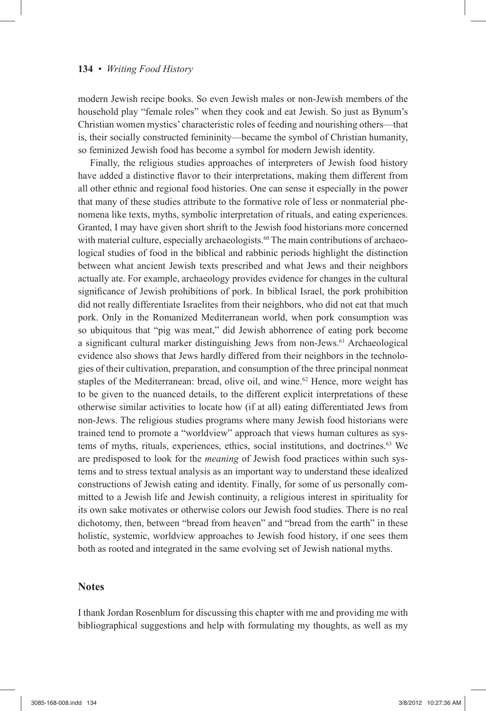modern Jewish recipe books. So even Jewish males or non-Jewish members of the household play "female roles" when they cook and eat Jewish. So just as Bynum's Christian women mystics' characteristic roles of feeding and nourishing others—that is, their socially constructed femininity—became the symbol of Christian humanity, so feminized Jewish food has become a symbol for modern Jewish identity.

Finally, the religious studies approaches of interpreters of Jewish food history have added a distinctive flavor to their interpretations, making them different from all other ethnic and regional food histories. One can sense it especially in the power that many of these studies attribute to the formative role of less or nonmaterial phenomena like texts, myths, symbolic interpretation of rituals, and eating experiences. Granted, I may have given short shrift to the Jewish food historians more concerned with material culture, especially archaeologists.<sup>60</sup> The main contributions of archaeological studies of food in the biblical and rabbinic periods highlight the distinction between what ancient Jewish texts prescribed and what Jews and their neighbors actually ate. For example, archaeology provides evidence for changes in the cultural significance of Jewish prohibitions of pork. In biblical Israel, the pork prohibition did not really differentiate Israelites from their neighbors, who did not eat that much pork. Only in the Romanized Mediterranean world, when pork consumption was so ubiquitous that "pig was meat," did Jewish abhorrence of eating pork become a significant cultural marker distinguishing Jews from non-Jews.<sup>61</sup> Archaeological evidence also shows that Jews hardly differed from their neighbors in the technologies of their cultivation, preparation, and consumption of the three principal nonmeat staples of the Mediterranean: bread, olive oil, and wine.<sup>62</sup> Hence, more weight has to be given to the nuanced details, to the different explicit interpretations of these otherwise similar activities to locate how (if at all) eating differentiated Jews from non-Jews. The religious studies programs where many Jewish food historians were trained tend to promote a "worldview" approach that views human cultures as systems of myths, rituals, experiences, ethics, social institutions, and doctrines.63 We are predisposed to look for the *meaning* of Jewish food practices within such systems and to stress textual analysis as an important way to understand these idealized constructions of Jewish eating and identity. Finally, for some of us personally committed to a Jewish life and Jewish continuity, a religious interest in spirituality for its own sake motivates or otherwise colors our Jewish food studies. There is no real dichotomy, then, between "bread from heaven" and "bread from the earth" in these holistic, systemic, worldview approaches to Jewish food history, if one sees them both as rooted and integrated in the same evolving set of Jewish national myths.

### **Notes**

I thank Jordan Rosenblum for discussing this chapter with me and providing me with bibliographical suggestions and help with formulating my thoughts, as well as my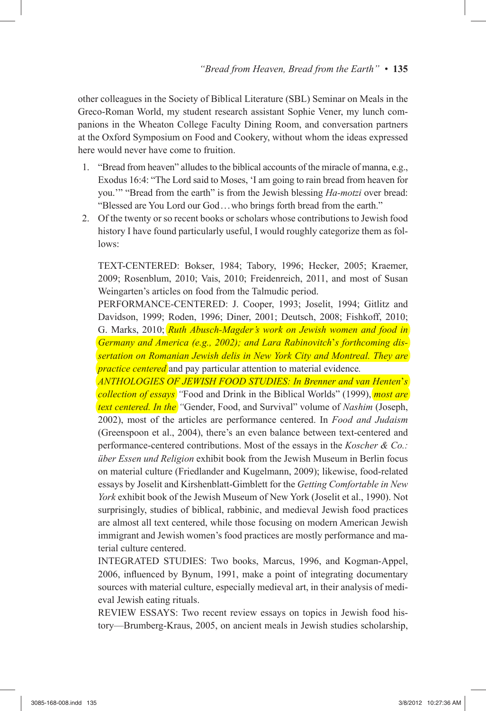other colleagues in the Society of Biblical Literature (SBL) Seminar on Meals in the Greco-Roman World, my student research assistant Sophie Vener, my lunch companions in the Wheaton College Faculty Dining Room, and conversation partners at the Oxford Symposium on Food and Cookery, without whom the ideas expressed here would never have come to fruition.

- 1. "Bread from heaven" alludes to the biblical accounts of the miracle of manna, e.g., Exodus 16:4: "The Lord said to Moses, 'I am going to rain bread from heaven for you." "Bread from the earth" is from the Jewish blessing *Ha-motzi* over bread: "Blessed are You Lord our God . . . who brings forth bread from the earth."
- 2. Of the twenty or so recent books or scholars whose contributions to Jewish food history I have found particularly useful, I would roughly categorize them as follows:

 TEXT-CENTERED: Bokser, 1984; Tabory, 1996; Hecker, 2005; Kraemer, 2009; Rosenblum, 2010; Vais, 2010; Freidenreich, 2011, and most of Susan Weingarten's articles on food from the Talmudic period.

 PERFORMANCE-CENTERED: J. Cooper, 1993; Joselit, 1994; Gitlitz and Davidson, 1999; Roden, 1996; Diner, 2001; Deutsch, 2008; Fishkoff, 2010; G. Marks, 2010; *Ruth Abusch-Magder's work on Jewish women and food in Germany and America (e.g., 2002); and Lara Rabinovitch*'*s forthcoming dissertation on Romanian Jewish delis in New York City and Montreal. They are practice centered* and pay particular attention to material evidence*.*

 *ANTHOLOGIES OF JEWISH FOOD STUDIES: In Brenner and van Henten*'*s collection of essays "*Food and Drink in the Biblical Worlds" (1999), *most are text centered. In the "*Gender, Food, and Survival" volume of *Nashim* (Joseph, 2002), most of the articles are performance centered. In *Food and Judaism* (Greenspoon et al., 2004), there's an even balance between text-centered and performance-centered contributions. Most of the essays in the *Koscher & Co.: über Essen und Religion* exhibit book from the Jewish Museum in Berlin focus on material culture (Friedlander and Kugelmann, 2009); likewise, food-related essays by Joselit and Kirshenblatt-Gimblett for the *Getting Comfortable in New York* exhibit book of the Jewish Museum of New York (Joselit et al., 1990). Not surprisingly, studies of biblical, rabbinic, and medieval Jewish food practices are almost all text centered, while those focusing on modern American Jewish immigrant and Jewish women's food practices are mostly performance and material culture centered.

 INTEGRATED STUDIES: Two books, Marcus, 1996, and Kogman-Appel, 2006, influenced by Bynum, 1991, make a point of integrating documentary sources with material culture, especially medieval art, in their analysis of medieval Jewish eating rituals.

 REVIEW ESSAYS: Two recent review essays on topics in Jewish food history—Brumberg-Kraus, 2005, on ancient meals in Jewish studies scholarship,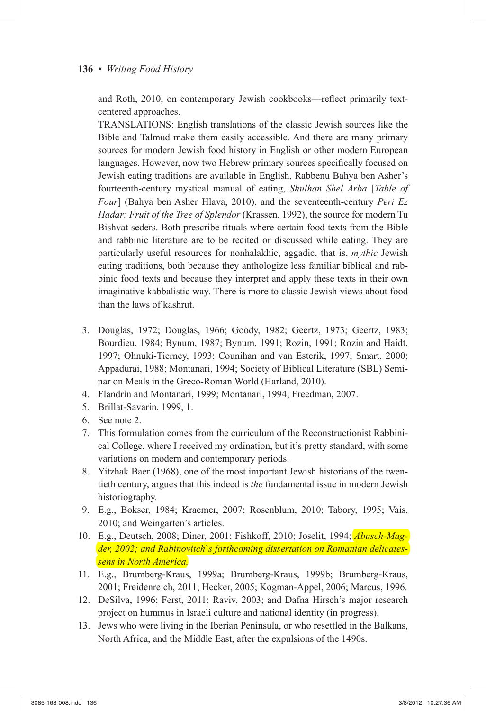and Roth, 2010, on contemporary Jewish cookbooks—reflect primarily textcentered approaches.

 TRANSLATIONS: English translations of the classic Jewish sources like the Bible and Talmud make them easily accessible. And there are many primary sources for modern Jewish food history in English or other modern European languages. However, now two Hebrew primary sources specifically focused on Jewish eating traditions are available in English, Rabbenu Bahya ben Asher's fourteenth-century mystical manual of eating, *Shulhan Shel Arba* [*Table of Four*] (Bahya ben Asher Hlava, 2010), and the seventeenth-century *Peri Ez Hadar: Fruit of the Tree of Splendor* (Krassen, 1992), the source for modern Tu Bishvat seders. Both prescribe rituals where certain food texts from the Bible and rabbinic literature are to be recited or discussed while eating. They are particularly useful resources for nonhalakhic, aggadic, that is, *mythic* Jewish eating traditions, both because they anthologize less familiar biblical and rabbinic food texts and because they interpret and apply these texts in their own imaginative kabbalistic way. There is more to classic Jewish views about food than the laws of kashrut.

- 3. Douglas, 1972; Douglas, 1966; Goody, 1982; Geertz, 1973; Geertz, 1983; Bourdieu, 1984; Bynum, 1987; Bynum, 1991; Rozin, 1991; Rozin and Haidt, 1997; Ohnuki-Tierney, 1993; Counihan and van Esterik, 1997; Smart, 2000; Appadurai, 1988; Montanari, 1994; Society of Biblical Literature (SBL) Seminar on Meals in the Greco-Roman World (Harland, 2010).
- 4. Flandrin and Montanari, 1999; Montanari, 1994; Freedman, 2007.
- 5. Brillat-Savarin, 1999, 1.
- 6. See note 2.
- 7. This formulation comes from the curriculum of the Reconstructionist Rabbinical College, where I received my ordination, but it's pretty standard, with some variations on modern and contemporary periods.
- 8. Yitzhak Baer (1968), one of the most important Jewish historians of the twentieth century, argues that this indeed is *the* fundamental issue in modern Jewish historiography.
- 9. E.g., Bokser, 1984; Kraemer, 2007; Rosenblum, 2010; Tabory, 1995; Vais, 2010; and Weingarten's articles.
- 10. E.g., Deutsch, 2008; Diner, 2001; Fishkoff, 2010; Joselit, 1994; *Abusch-Magder, 2002; and Rabinovitch*'*s forthcoming dissertation on Romanian delicatessens in North America.*
- 11. E.g., Brumberg-Kraus, 1999a; Brumberg-Kraus, 1999b; Brumberg-Kraus, 2001; Freidenreich, 2011; Hecker, 2005; Kogman-Appel, 2006; Marcus, 1996.
- 12. DeSilva, 1996; Ferst, 2011; Raviv, 2003; and Dafna Hirsch's major research project on hummus in Israeli culture and national identity (in progress).
- 13. Jews who were living in the Iberian Peninsula, or who resettled in the Balkans, North Africa, and the Middle East, after the expulsions of the 1490s.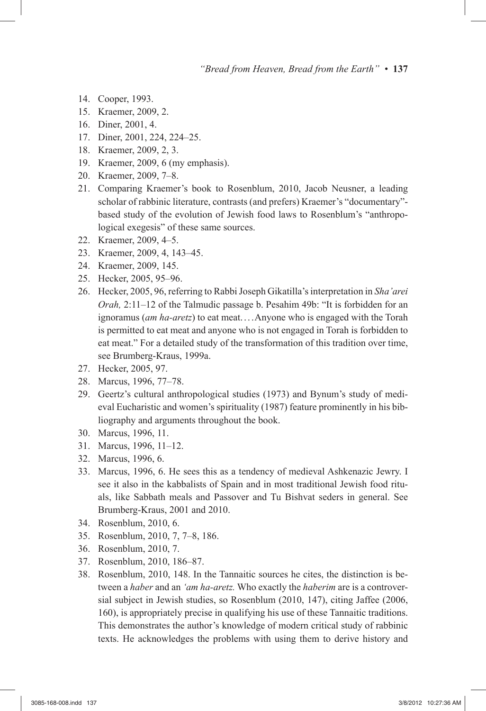*"Bread from Heaven, Bread from the Earth" •* **137**

- 14. Cooper, 1993.
- 15. Kraemer, 2009, 2.
- 16. Diner, 2001, 4.
- 17. Diner, 2001, 224, 224–25.
- 18. Kraemer, 2009, 2, 3.
- 19. Kraemer, 2009, 6 (my emphasis).
- 20. Kraemer, 2009, 7–8.
- 21. Comparing Kraemer's book to Rosenblum, 2010, Jacob Neusner, a leading scholar of rabbinic literature, contrasts (and prefers) Kraemer's "documentary" based study of the evolution of Jewish food laws to Rosenblum's "anthropological exegesis" of these same sources.
- 22. Kraemer, 2009, 4–5.
- 23. Kraemer, 2009, 4, 143–45.
- 24. Kraemer, 2009, 145.
- 25. Hecker, 2005, 95–96.
- 26. Hecker, 2005, 96, referring to Rabbi Joseph Gikatilla's interpretation in *Sha'arei Orah,* 2:11–12 of the Talmudic passage b. Pesahim 49b: "It is forbidden for an ignoramus (*am ha-aretz*) to eat meat. . . . Anyone who is engaged with the Torah is permitted to eat meat and anyone who is not engaged in Torah is forbidden to eat meat." For a detailed study of the transformation of this tradition over time, see Brumberg-Kraus, 1999a.
- 27. Hecker, 2005, 97.
- 28. Marcus, 1996, 77–78.
- 29. Geertz's cultural anthropological studies (1973) and Bynum's study of medieval Eucharistic and women's spirituality (1987) feature prominently in his bibliography and arguments throughout the book.
- 30. Marcus, 1996, 11.
- 31. Marcus, 1996, 11–12.
- 32. Marcus, 1996, 6.
- 33. Marcus, 1996, 6. He sees this as a tendency of medieval Ashkenazic Jewry. I see it also in the kabbalists of Spain and in most traditional Jewish food rituals, like Sabbath meals and Passover and Tu Bishvat seders in general. See Brumberg-Kraus, 2001 and 2010.
- 34. Rosenblum, 2010, 6.
- 35. Rosenblum, 2010, 7, 7–8, 186.
- 36. Rosenblum, 2010, 7.
- 37. Rosenblum, 2010, 186–87.
- 38. Rosenblum, 2010, 148. In the Tannaitic sources he cites, the distinction is between a *haber* and an *'am ha-aretz.* Who exactly the *haberim* are is a controversial subject in Jewish studies, so Rosenblum (2010, 147), citing Jaffee (2006, 160), is appropriately precise in qualifying his use of these Tannaitic traditions. This demonstrates the author's knowledge of modern critical study of rabbinic texts. He acknowledges the problems with using them to derive history and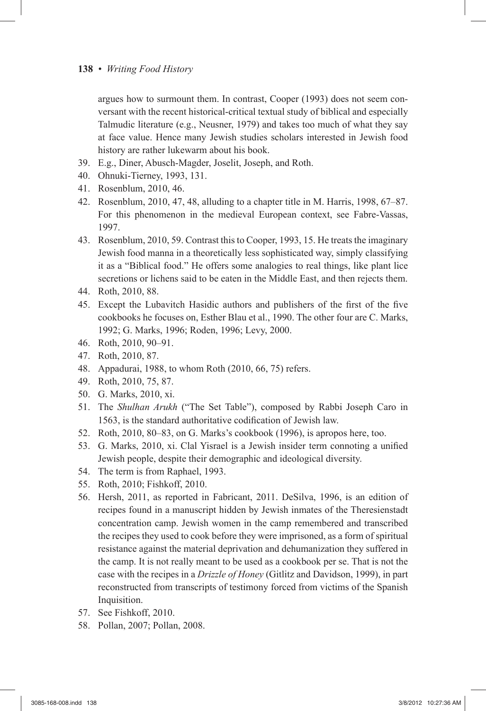argues how to surmount them. In contrast, Cooper (1993) does not seem conversant with the recent historical-critical textual study of biblical and especially Talmudic literature (e.g., Neusner, 1979) and takes too much of what they say at face value. Hence many Jewish studies scholars interested in Jewish food history are rather lukewarm about his book.

- 39. E.g., Diner, Abusch-Magder, Joselit, Joseph, and Roth.
- 40. Ohnuki-Tierney, 1993, 131.
- 41. Rosenblum, 2010, 46.
- 42. Rosenblum, 2010, 47, 48, alluding to a chapter title in M. Harris, 1998, 67–87. For this phenomenon in the medieval European context, see Fabre-Vassas, 1997.
- 43. Rosenblum, 2010, 59. Contrast this to Cooper, 1993, 15. He treats the imaginary Jewish food manna in a theoretically less sophisticated way, simply classifying it as a "Biblical food." He offers some analogies to real things, like plant lice secretions or lichens said to be eaten in the Middle East, and then rejects them.
- 44. Roth, 2010, 88.
- 45. Except the Lubavitch Hasidic authors and publishers of the first of the five cookbooks he focuses on, Esther Blau et al., 1990. The other four are C. Marks, 1992; G. Marks, 1996; Roden, 1996; Levy, 2000.
- 46. Roth, 2010, 90–91.
- 47. Roth, 2010, 87.
- 48. Appadurai, 1988, to whom Roth (2010, 66, 75) refers.
- 49. Roth, 2010, 75, 87.
- 50. G. Marks, 2010, xi.
- 51. The *Shulhan Arukh* ("The Set Table"), composed by Rabbi Joseph Caro in 1563, is the standard authoritative codification of Jewish law.
- 52. Roth, 2010, 80–83, on G. Marks's cookbook (1996), is apropos here, too.
- 53. G. Marks, 2010, xi. Clal Yisrael is a Jewish insider term connoting a unified Jewish people, despite their demographic and ideological diversity.
- 54. The term is from Raphael, 1993.
- 55. Roth, 2010; Fishkoff, 2010.
- 56. Hersh, 2011, as reported in Fabricant, 2011. DeSilva, 1996, is an edition of recipes found in a manuscript hidden by Jewish inmates of the Theresienstadt concentration camp. Jewish women in the camp remembered and transcribed the recipes they used to cook before they were imprisoned, as a form of spiritual resistance against the material deprivation and dehumanization they suffered in the camp. It is not really meant to be used as a cookbook per se. That is not the case with the recipes in a *Drizzle of Honey* (Gitlitz and Davidson, 1999), in part reconstructed from transcripts of testimony forced from victims of the Spanish Inquisition.
- 57. See Fishkoff, 2010.
- 58. Pollan, 2007; Pollan, 2008.